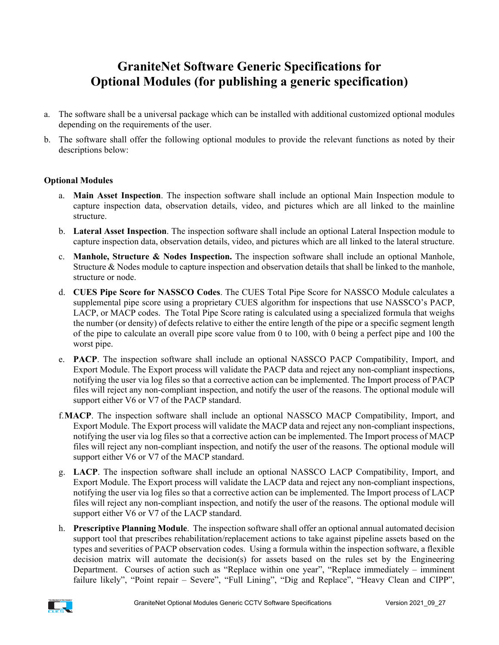## **GraniteNet Software Generic Specifications for Optional Modules (for publishing a generic specification)**

- a. The software shall be a universal package which can be installed with additional customized optional modules depending on the requirements of the user.
- b. The software shall offer the following optional modules to provide the relevant functions as noted by their descriptions below:

## **Optional Modules**

- a. **Main Asset Inspection**. The inspection software shall include an optional Main Inspection module to capture inspection data, observation details, video, and pictures which are all linked to the mainline structure.
- b. **Lateral Asset Inspection**. The inspection software shall include an optional Lateral Inspection module to capture inspection data, observation details, video, and pictures which are all linked to the lateral structure.
- c. **Manhole, Structure & Nodes Inspection.** The inspection software shall include an optional Manhole, Structure & Nodes module to capture inspection and observation details that shall be linked to the manhole, structure or node.
- d. **CUES Pipe Score for NASSCO Codes**. The CUES Total Pipe Score for NASSCO Module calculates a supplemental pipe score using a proprietary CUES algorithm for inspections that use NASSCO's PACP, LACP, or MACP codes. The Total Pipe Score rating is calculated using a specialized formula that weighs the number (or density) of defects relative to either the entire length of the pipe or a specific segment length of the pipe to calculate an overall pipe score value from 0 to 100, with 0 being a perfect pipe and 100 the worst pipe.
- e. **PACP**. The inspection software shall include an optional NASSCO PACP Compatibility, Import, and Export Module. The Export process will validate the PACP data and reject any non-compliant inspections, notifying the user via log files so that a corrective action can be implemented. The Import process of PACP files will reject any non-compliant inspection, and notify the user of the reasons. The optional module will support either V6 or V7 of the PACP standard.
- f.**MACP**. The inspection software shall include an optional NASSCO MACP Compatibility, Import, and Export Module. The Export process will validate the MACP data and reject any non-compliant inspections, notifying the user via log files so that a corrective action can be implemented. The Import process of MACP files will reject any non-compliant inspection, and notify the user of the reasons. The optional module will support either V6 or V7 of the MACP standard.
- g. **LACP**. The inspection software shall include an optional NASSCO LACP Compatibility, Import, and Export Module. The Export process will validate the LACP data and reject any non-compliant inspections, notifying the user via log files so that a corrective action can be implemented. The Import process of LACP files will reject any non-compliant inspection, and notify the user of the reasons. The optional module will support either V6 or V7 of the LACP standard.
- h. **Prescriptive Planning Module**. The inspection software shall offer an optional annual automated decision support tool that prescribes rehabilitation/replacement actions to take against pipeline assets based on the types and severities of PACP observation codes. Using a formula within the inspection software, a flexible decision matrix will automate the decision(s) for assets based on the rules set by the Engineering Department. Courses of action such as "Replace within one year", "Replace immediately – imminent failure likely", "Point repair - Severe", "Full Lining", "Dig and Replace", "Heavy Clean and CIPP",

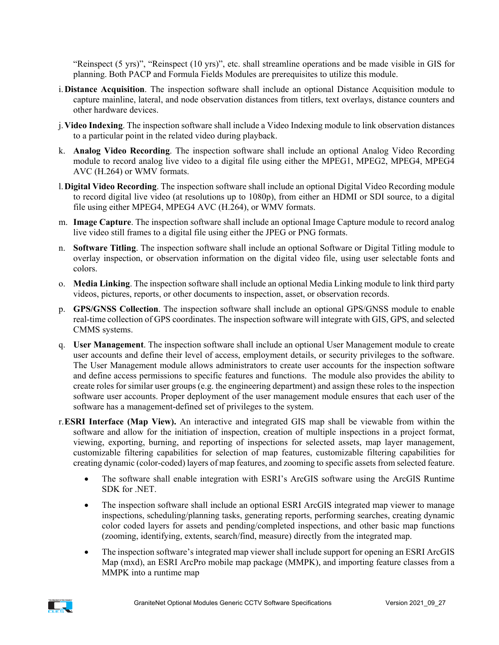"Reinspect (5 yrs)", "Reinspect (10 yrs)", etc. shall streamline operations and be made visible in GIS for planning. Both PACP and Formula Fields Modules are prerequisites to utilize this module.

- i.**Distance Acquisition**. The inspection software shall include an optional Distance Acquisition module to capture mainline, lateral, and node observation distances from titlers, text overlays, distance counters and other hardware devices.
- j.**Video Indexing**. The inspection software shall include a Video Indexing module to link observation distances to a particular point in the related video during playback.
- k. **Analog Video Recording**. The inspection software shall include an optional Analog Video Recording module to record analog live video to a digital file using either the MPEG1, MPEG2, MPEG4, MPEG4 AVC (H.264) or WMV formats.
- l.**Digital Video Recording**. The inspection software shall include an optional Digital Video Recording module to record digital live video (at resolutions up to 1080p), from either an HDMI or SDI source, to a digital file using either MPEG4, MPEG4 AVC (H.264), or WMV formats.
- m. **Image Capture**. The inspection software shall include an optional Image Capture module to record analog live video still frames to a digital file using either the JPEG or PNG formats.
- n. **Software Titling**. The inspection software shall include an optional Software or Digital Titling module to overlay inspection, or observation information on the digital video file, using user selectable fonts and colors.
- o. **Media Linking**. The inspection software shall include an optional Media Linking module to link third party videos, pictures, reports, or other documents to inspection, asset, or observation records.
- p. **GPS/GNSS Collection**. The inspection software shall include an optional GPS/GNSS module to enable real-time collection of GPS coordinates. The inspection software will integrate with GIS, GPS, and selected CMMS systems.
- q. **User Management**. The inspection software shall include an optional User Management module to create user accounts and define their level of access, employment details, or security privileges to the software. The User Management module allows administrators to create user accounts for the inspection software and define access permissions to specific features and functions. The module also provides the ability to create roles for similar user groups (e.g. the engineering department) and assign these roles to the inspection software user accounts. Proper deployment of the user management module ensures that each user of the software has a management-defined set of privileges to the system.
- r.**ESRI Interface (Map View).** An interactive and integrated GIS map shall be viewable from within the software and allow for the initiation of inspection, creation of multiple inspections in a project format, viewing, exporting, burning, and reporting of inspections for selected assets, map layer management, customizable filtering capabilities for selection of map features, customizable filtering capabilities for creating dynamic (color-coded) layers of map features, and zooming to specific assets from selected feature.
	- The software shall enable integration with ESRI's ArcGIS software using the ArcGIS Runtime SDK for .NET.
	- The inspection software shall include an optional ESRI ArcGIS integrated map viewer to manage inspections, scheduling/planning tasks, generating reports, performing searches, creating dynamic color coded layers for assets and pending/completed inspections, and other basic map functions (zooming, identifying, extents, search/find, measure) directly from the integrated map.
	- The inspection software's integrated map viewer shall include support for opening an ESRI ArcGIS Map (mxd), an ESRI ArcPro mobile map package (MMPK), and importing feature classes from a MMPK into a runtime map

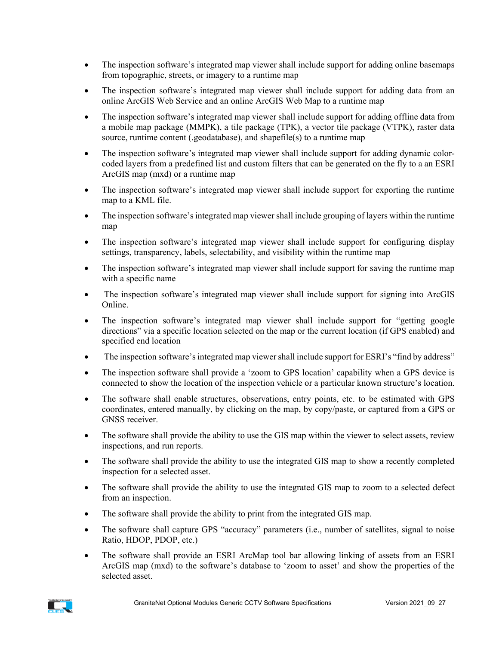- The inspection software's integrated map viewer shall include support for adding online basemaps from topographic, streets, or imagery to a runtime map
- The inspection software's integrated map viewer shall include support for adding data from an online ArcGIS Web Service and an online ArcGIS Web Map to a runtime map
- The inspection software's integrated map viewer shall include support for adding offline data from a mobile map package (MMPK), a tile package (TPK), a vector tile package (VTPK), raster data source, runtime content (.geodatabase), and shapefile(s) to a runtime map
- The inspection software's integrated map viewer shall include support for adding dynamic colorcoded layers from a predefined list and custom filters that can be generated on the fly to a an ESRI ArcGIS map (mxd) or a runtime map
- The inspection software's integrated map viewer shall include support for exporting the runtime map to a KML file.
- The inspection software's integrated map viewer shall include grouping of layers within the runtime map
- The inspection software's integrated map viewer shall include support for configuring display settings, transparency, labels, selectability, and visibility within the runtime map
- The inspection software's integrated map viewer shall include support for saving the runtime map with a specific name
- The inspection software's integrated map viewer shall include support for signing into ArcGIS Online.
- The inspection software's integrated map viewer shall include support for "getting google directions" via a specific location selected on the map or the current location (if GPS enabled) and specified end location
- The inspection software's integrated map viewer shall include support for ESRI's "find by address"
- The inspection software shall provide a 'zoom to GPS location' capability when a GPS device is connected to show the location of the inspection vehicle or a particular known structure's location.
- The software shall enable structures, observations, entry points, etc. to be estimated with GPS coordinates, entered manually, by clicking on the map, by copy/paste, or captured from a GPS or GNSS receiver.
- The software shall provide the ability to use the GIS map within the viewer to select assets, review inspections, and run reports.
- The software shall provide the ability to use the integrated GIS map to show a recently completed inspection for a selected asset.
- The software shall provide the ability to use the integrated GIS map to zoom to a selected defect from an inspection.
- The software shall provide the ability to print from the integrated GIS map.
- The software shall capture GPS "accuracy" parameters (i.e., number of satellites, signal to noise Ratio, HDOP, PDOP, etc.)
- The software shall provide an ESRI ArcMap tool bar allowing linking of assets from an ESRI ArcGIS map (mxd) to the software's database to 'zoom to asset' and show the properties of the selected asset.

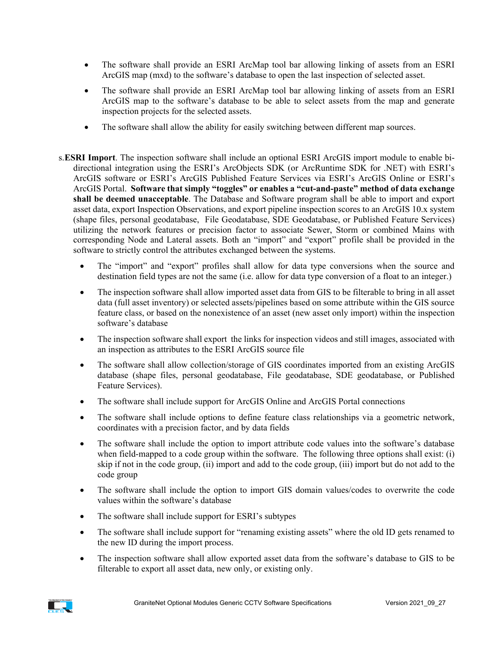- The software shall provide an ESRI ArcMap tool bar allowing linking of assets from an ESRI ArcGIS map (mxd) to the software's database to open the last inspection of selected asset.
- The software shall provide an ESRI ArcMap tool bar allowing linking of assets from an ESRI ArcGIS map to the software's database to be able to select assets from the map and generate inspection projects for the selected assets.
- The software shall allow the ability for easily switching between different map sources.
- s.**ESRI Import**. The inspection software shall include an optional ESRI ArcGIS import module to enable bidirectional integration using the ESRI's ArcObjects SDK (or ArcRuntime SDK for .NET) with ESRI's ArcGIS software or ESRI's ArcGIS Published Feature Services via ESRI's ArcGIS Online or ESRI's ArcGIS Portal. **Software that simply "toggles" or enables a "cut-and-paste" method of data exchange shall be deemed unacceptable**. The Database and Software program shall be able to import and export asset data, export Inspection Observations, and export pipeline inspection scores to an ArcGIS 10.x system (shape files, personal geodatabase, File Geodatabase, SDE Geodatabase, or Published Feature Services) utilizing the network features or precision factor to associate Sewer, Storm or combined Mains with corresponding Node and Lateral assets. Both an "import" and "export" profile shall be provided in the software to strictly control the attributes exchanged between the systems.
	- The "import" and "export" profiles shall allow for data type conversions when the source and destination field types are not the same (i.e. allow for data type conversion of a float to an integer.)
	- The inspection software shall allow imported asset data from GIS to be filterable to bring in all asset data (full asset inventory) or selected assets/pipelines based on some attribute within the GIS source feature class, or based on the nonexistence of an asset (new asset only import) within the inspection software's database
	- The inspection software shall export the links for inspection videos and still images, associated with an inspection as attributes to the ESRI ArcGIS source file
	- The software shall allow collection/storage of GIS coordinates imported from an existing ArcGIS database (shape files, personal geodatabase, File geodatabase, SDE geodatabase, or Published Feature Services).
	- The software shall include support for ArcGIS Online and ArcGIS Portal connections
	- The software shall include options to define feature class relationships via a geometric network, coordinates with a precision factor, and by data fields
	- The software shall include the option to import attribute code values into the software's database when field-mapped to a code group within the software. The following three options shall exist: (i) skip if not in the code group, (ii) import and add to the code group, (iii) import but do not add to the code group
	- The software shall include the option to import GIS domain values/codes to overwrite the code values within the software's database
	- The software shall include support for ESRI's subtypes
	- The software shall include support for "renaming existing assets" where the old ID gets renamed to the new ID during the import process.
	- The inspection software shall allow exported asset data from the software's database to GIS to be filterable to export all asset data, new only, or existing only.

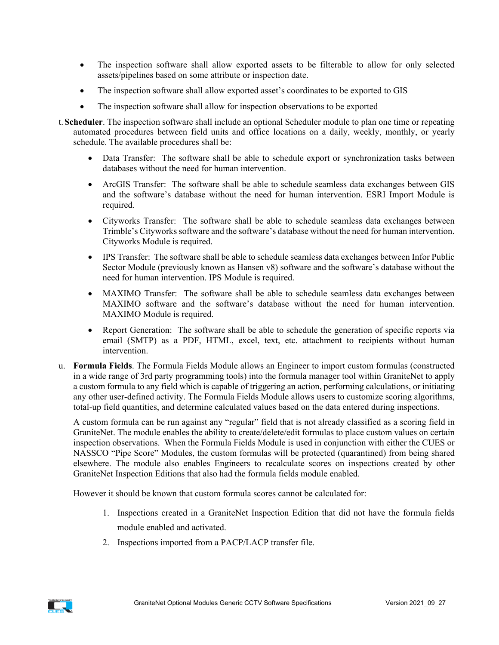- The inspection software shall allow exported assets to be filterable to allow for only selected assets/pipelines based on some attribute or inspection date.
- The inspection software shall allow exported asset's coordinates to be exported to GIS
- The inspection software shall allow for inspection observations to be exported
- t.**Scheduler**. The inspection software shall include an optional Scheduler module to plan one time or repeating automated procedures between field units and office locations on a daily, weekly, monthly, or yearly schedule. The available procedures shall be:
	- Data Transfer: The software shall be able to schedule export or synchronization tasks between databases without the need for human intervention.
	- ArcGIS Transfer: The software shall be able to schedule seamless data exchanges between GIS and the software's database without the need for human intervention. ESRI Import Module is required.
	- Cityworks Transfer: The software shall be able to schedule seamless data exchanges between Trimble's Cityworks software and the software's database without the need for human intervention. Cityworks Module is required.
	- IPS Transfer: The software shall be able to schedule seamless data exchanges between Infor Public Sector Module (previously known as Hansen v8) software and the software's database without the need for human intervention. IPS Module is required.
	- MAXIMO Transfer: The software shall be able to schedule seamless data exchanges between MAXIMO software and the software's database without the need for human intervention. MAXIMO Module is required.
	- Report Generation: The software shall be able to schedule the generation of specific reports via email (SMTP) as a PDF, HTML, excel, text, etc. attachment to recipients without human intervention.
- u. **Formula Fields**. The Formula Fields Module allows an Engineer to import custom formulas (constructed in a wide range of 3rd party programming tools) into the formula manager tool within GraniteNet to apply a custom formula to any field which is capable of triggering an action, performing calculations, or initiating any other user-defined activity. The Formula Fields Module allows users to customize scoring algorithms, total-up field quantities, and determine calculated values based on the data entered during inspections.

A custom formula can be run against any "regular" field that is not already classified as a scoring field in GraniteNet. The module enables the ability to create/delete/edit formulas to place custom values on certain inspection observations. When the Formula Fields Module is used in conjunction with either the CUES or NASSCO "Pipe Score" Modules, the custom formulas will be protected (quarantined) from being shared elsewhere. The module also enables Engineers to recalculate scores on inspections created by other GraniteNet Inspection Editions that also had the formula fields module enabled.

However it should be known that custom formula scores cannot be calculated for:

- 1. Inspections created in a GraniteNet Inspection Edition that did not have the formula fields module enabled and activated.
- 2. Inspections imported from a PACP/LACP transfer file.

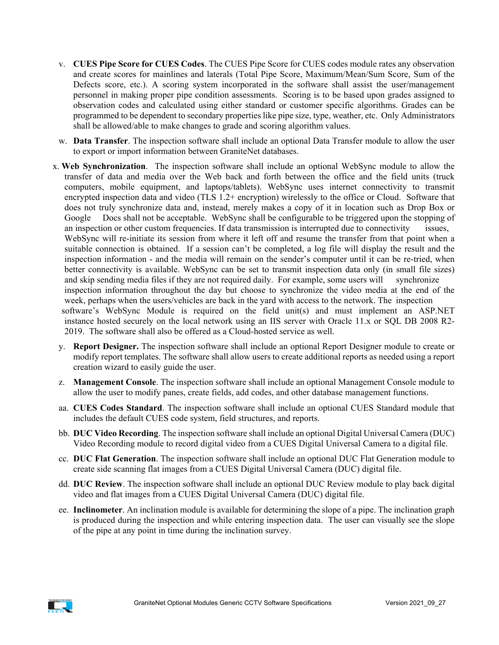- v. **CUES Pipe Score for CUES Codes**. The CUES Pipe Score for CUES codes module rates any observation and create scores for mainlines and laterals (Total Pipe Score, Maximum/Mean/Sum Score, Sum of the Defects score, etc.). A scoring system incorporated in the software shall assist the user/management personnel in making proper pipe condition assessments. Scoring is to be based upon grades assigned to observation codes and calculated using either standard or customer specific algorithms. Grades can be programmed to be dependent to secondary properties like pipe size, type, weather, etc. Only Administrators shall be allowed/able to make changes to grade and scoring algorithm values.
- w. **Data Transfer**. The inspection software shall include an optional Data Transfer module to allow the user to export or import information between GraniteNet databases.
- x. **Web Synchronization**. The inspection software shall include an optional WebSync module to allow the transfer of data and media over the Web back and forth between the office and the field units (truck computers, mobile equipment, and laptops/tablets). WebSync uses internet connectivity to transmit encrypted inspection data and video (TLS 1.2+ encryption) wirelessly to the office or Cloud. Software that does not truly synchronize data and, instead, merely makes a copy of it in location such as Drop Box or Google Docs shall not be acceptable. WebSync shall be configurable to be triggered upon the stopping of an inspection or other custom frequencies. If data transmission is interrupted due to connectivity issues, WebSync will re-initiate its session from where it left off and resume the transfer from that point when a suitable connection is obtained. If a session can't be completed, a log file will display the result and the inspection information - and the media will remain on the sender's computer until it can be re-tried, when better connectivity is available. WebSync can be set to transmit inspection data only (in small file sizes) and skip sending media files if they are not required daily. For example, some users will synchronize inspection information throughout the day but choose to synchronize the video media at the end of the week, perhaps when the users/vehicles are back in the yard with access to the network. The inspection software's WebSync Module is required on the field unit(s) and must implement an ASP.NET instance hosted securely on the local network using an IIS server with Oracle 11.x or SQL DB 2008 R2- 2019. The software shall also be offered as a Cloud-hosted service as well.
	- y. **Report Designer.** The inspection software shall include an optional Report Designer module to create or modify report templates. The software shall allow users to create additional reports as needed using a report creation wizard to easily guide the user.
	- z. **Management Console**. The inspection software shall include an optional Management Console module to allow the user to modify panes, create fields, add codes, and other database management functions.
	- aa. **CUES Codes Standard**. The inspection software shall include an optional CUES Standard module that includes the default CUES code system, field structures, and reports.
	- bb. **DUC Video Recording**. The inspection software shall include an optional Digital Universal Camera (DUC) Video Recording module to record digital video from a CUES Digital Universal Camera to a digital file.
	- cc. **DUC Flat Generation**. The inspection software shall include an optional DUC Flat Generation module to create side scanning flat images from a CUES Digital Universal Camera (DUC) digital file.
	- dd. **DUC Review**. The inspection software shall include an optional DUC Review module to play back digital video and flat images from a CUES Digital Universal Camera (DUC) digital file.
	- ee. **Inclinometer**. An inclination module is available for determining the slope of a pipe. The inclination graph is produced during the inspection and while entering inspection data. The user can visually see the slope of the pipe at any point in time during the inclination survey.

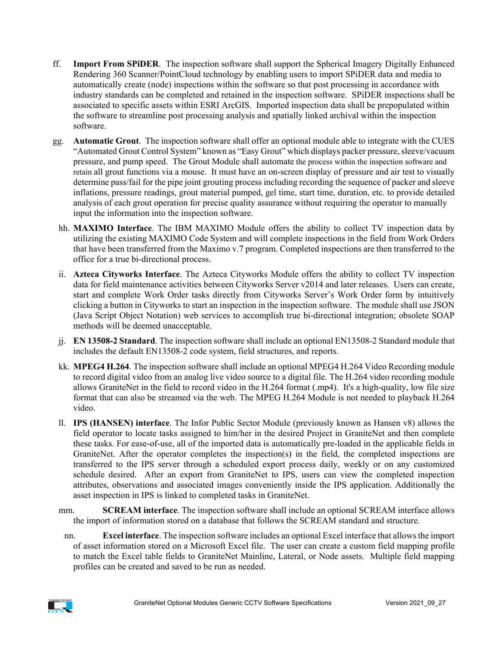- ff. **Import From SPiDER**. The inspection software shall support the Spherical Imagery Digitally Enhanced Rendering 360 Scanner/PointCloud technology by enabling users to import SPiDER data and media to automatically create (node) inspections within the software so that post processing in accordance with industry standards can be completed and retained in the inspection software. SPiDER inspections shall be associated to specific assets within ESRI ArcGIS. Imported inspection data shall be prepopulated within the software to streamline post processing analysis and spatially linked archival within the inspection software.
- gg. **Automatic Grout**. The inspection software shall offer an optional module able to integrate with the CUES "Automated Grout Control System" known as "Easy Grout" which displays packer pressure, sleeve/vacuum pressure, and pump speed. The Grout Module shall automate the process within the inspection software and retain all grout functions via a mouse. It must have an on-screen display of pressure and air test to visually determine pass/fail for the pipe joint grouting process including recording the sequence of packer and sleeve inflations, pressure readings, grout material pumped, gel time, start time, duration, etc. to provide detailed analysis of each grout operation for precise quality assurance without requiring the operator to manually input the information into the inspection software.
	- hh. **MAXIMO Interface**. The IBM MAXIMO Module offers the ability to collect TV inspection data by utilizing the existing MAXIMO Code System and will complete inspections in the field from Work Orders that have been transferred from the Maximo v.7 program. Completed inspections are then transferred to the office for a true bi-directional process.
	- ii. **Azteca Cityworks Interface**. The Azteca Cityworks Module offers the ability to collect TV inspection data for field maintenance activities between Cityworks Server v2014 and later releases. Users can create, start and complete Work Order tasks directly from Cityworks Server's Work Order form by intuitively clicking a button in Cityworks to start an inspection in the inspection software. The module shall use JSON (Java Script Object Notation) web services to accomplish true bi-directional integration; obsolete SOAP methods will be deemed unacceptable.
- jj. **EN 13508-2 Standard**. The inspection software shall include an optional EN13508-2 Standard module that includes the default EN13508-2 code system, field structures, and reports.
- kk. **MPEG4 H.264**. The inspection software shall include an optional MPEG4 H.264 Video Recording module to record digital video from an analog live video source to a digital file. The H.264 video recording module allows GraniteNet in the field to record video in the H.264 format (.mp4). It's a high-quality, low file size format that can also be streamed via the web. The MPEG H.264 Module is not needed to playback H.264 video.
- ll. **IPS (HANSEN) interface**. The Infor Public Sector Module (previously known as Hansen v8) allows the field operator to locate tasks assigned to him/her in the desired Project in GraniteNet and then complete these tasks. For ease-of-use, all of the imported data is automatically pre-loaded in the applicable fields in GraniteNet. After the operator completes the inspection(s) in the field, the completed inspections are transferred to the IPS server through a scheduled export process daily, weekly or on any customized schedule desired. After an export from GraniteNet to IPS, users can view the completed inspection attributes, observations and associated images conveniently inside the IPS application. Additionally the asset inspection in IPS is linked to completed tasks in GraniteNet.
- mm. **SCREAM interface**. The inspection software shall include an optional SCREAM interface allows the import of information stored on a database that follows the SCREAM standard and structure.
- nn. **Excel interface**. The inspection software includes an optional Excel interface that allows the import of asset information stored on a Microsoft Excel file. The user can create a custom field mapping profile to match the Excel table fields to GraniteNet Mainline, Lateral, or Node assets. Multiple field mapping profiles can be created and saved to be run as needed.